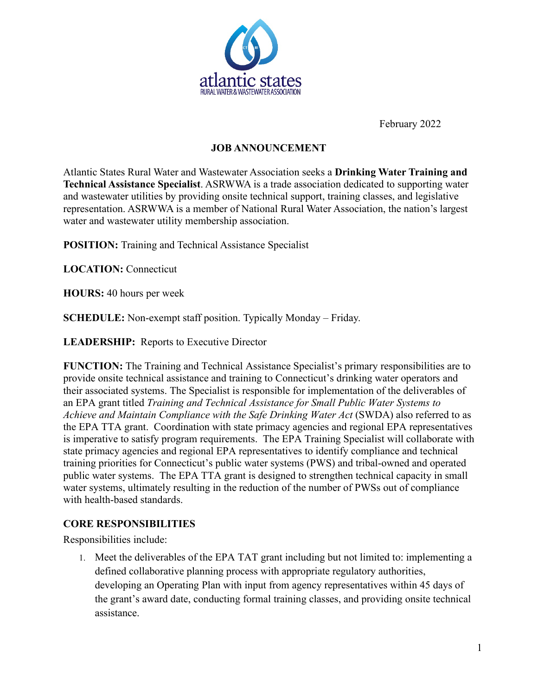

February 2022

# **JOB ANNOUNCEMENT**

Atlantic States Rural Water and Wastewater Association seeks a **Drinking Water Training and Technical Assistance Specialist**. ASRWWA is a trade association dedicated to supporting water and wastewater utilities by providing onsite technical support, training classes, and legislative representation. ASRWWA is a member of National Rural Water Association, the nation's largest water and wastewater utility membership association.

**POSITION:** Training and Technical Assistance Specialist

**LOCATION:** Connecticut

**HOURS:** 40 hours per week

**SCHEDULE:** Non-exempt staff position. Typically Monday – Friday.

**LEADERSHIP:** Reports to Executive Director

**FUNCTION:** The Training and Technical Assistance Specialist's primary responsibilities are to provide onsite technical assistance and training to Connecticut's drinking water operators and their associated systems. The Specialist is responsible for implementation of the deliverables of an EPA grant titled *Training and Technical Assistance for Small Public Water Systems to Achieve and Maintain Compliance with the Safe Drinking Water Act* (SWDA) also referred to as the EPA TTA grant. Coordination with state primacy agencies and regional EPA representatives is imperative to satisfy program requirements. The EPA Training Specialist will collaborate with state primacy agencies and regional EPA representatives to identify compliance and technical training priorities for Connecticut's public water systems (PWS) and tribal-owned and operated public water systems. The EPA TTA grant is designed to strengthen technical capacity in small water systems, ultimately resulting in the reduction of the number of PWSs out of compliance with health-based standards.

## **CORE RESPONSIBILITIES**

Responsibilities include:

1. Meet the deliverables of the EPA TAT grant including but not limited to: implementing a defined collaborative planning process with appropriate regulatory authorities, developing an Operating Plan with input from agency representatives within 45 days of the grant's award date, conducting formal training classes, and providing onsite technical assistance.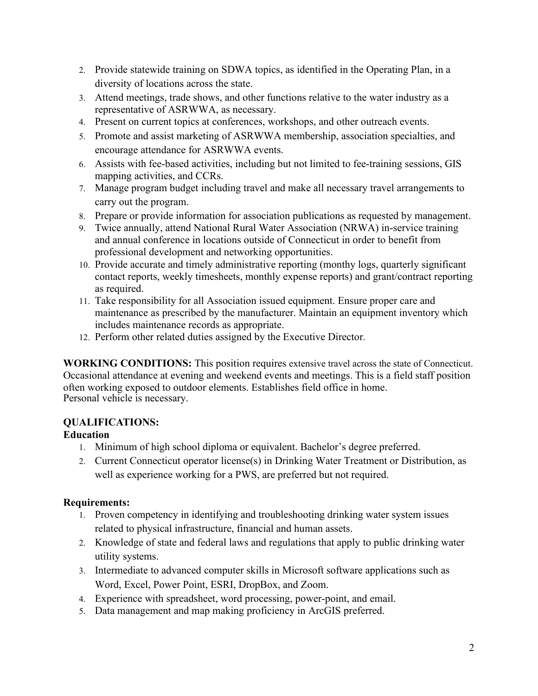- 2. Provide statewide training on SDWA topics, as identified in the Operating Plan, in a diversity of locations across the state.
- 3. Attend meetings, trade shows, and other functions relative to the water industry as a representative of ASRWWA, as necessary.
- 4. Present on current topics at conferences, workshops, and other outreach events.
- 5. Promote and assist marketing of ASRWWA membership, association specialties, and encourage attendance for ASRWWA events.
- 6. Assists with fee-based activities, including but not limited to fee-training sessions, GIS mapping activities, and CCRs.
- 7. Manage program budget including travel and make all necessary travel arrangements to carry out the program.
- 8. Prepare or provide information for association publications as requested by management.
- 9. Twice annually, attend National Rural Water Association (NRWA) in-service training and annual conference in locations outside of Connecticut in order to benefit from professional development and networking opportunities.
- 10. Provide accurate and timely administrative reporting (monthy logs, quarterly significant contact reports, weekly timesheets, monthly expense reports) and grant/contract reporting as required.
- 11. Take responsibility for all Association issued equipment. Ensure proper care and maintenance as prescribed by the manufacturer. Maintain an equipment inventory which includes maintenance records as appropriate.
- 12. Perform other related duties assigned by the Executive Director.

**WORKING CONDITIONS:** This position requires extensive travel across the state of Connecticut. Occasional attendance at evening and weekend events and meetings. This is a field staff position often working exposed to outdoor elements. Establishes field office in home. Personal vehicle is necessary.

# **QUALIFICATIONS:**

# **Education**

- 1. Minimum of high school diploma or equivalent. Bachelor's degree preferred.
- 2. Current Connecticut operator license(s) in Drinking Water Treatment or Distribution, as well as experience working for a PWS, are preferred but not required.

# **Requirements:**

- 1. Proven competency in identifying and troubleshooting drinking water system issues related to physical infrastructure, financial and human assets.
- 2. Knowledge of state and federal laws and regulations that apply to public drinking water utility systems.
- 3. Intermediate to advanced computer skills in Microsoft software applications such as Word, Excel, Power Point, ESRI, DropBox, and Zoom.
- 4. Experience with spreadsheet, word processing, power-point, and email.
- 5. Data management and map making proficiency in ArcGIS preferred.